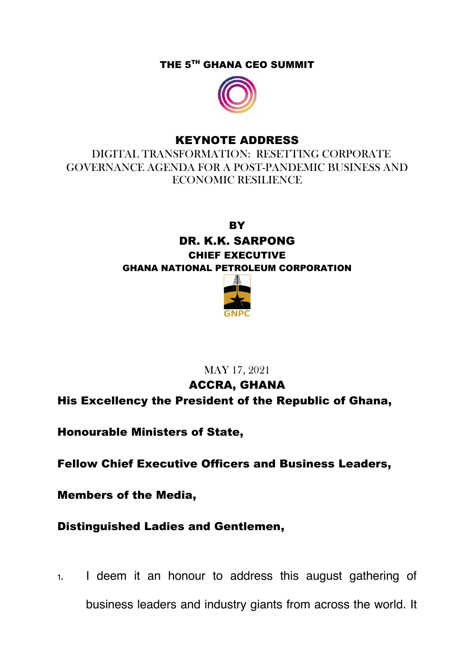THE 5<sup>TH</sup> GHANA CEO SUMMIT



## KEYNOTE ADDRESS

 DIGITAL TRANSFORMATION: RESETTING CORPORATE GOVERNANCE AGENDA FOR A POST-PANDEMIC BUSINESS AND ECONOMIC RESILIENCE

**BY** 

DR. K.K. SARPONG CHIEF EXECUTIVE GHANA NATIONAL PETROLEUM CORPORATION



## MAY 17, 2021

ACCRA, GHANA His Excellency the President of the Republic of Ghana,

Honourable Ministers of State,

Fellow Chief Executive Officers and Business Leaders,

Members of the Media,

Distinguished Ladies and Gentlemen,

1. I deem it an honour to address this august gathering of business leaders and industry giants from across the world. It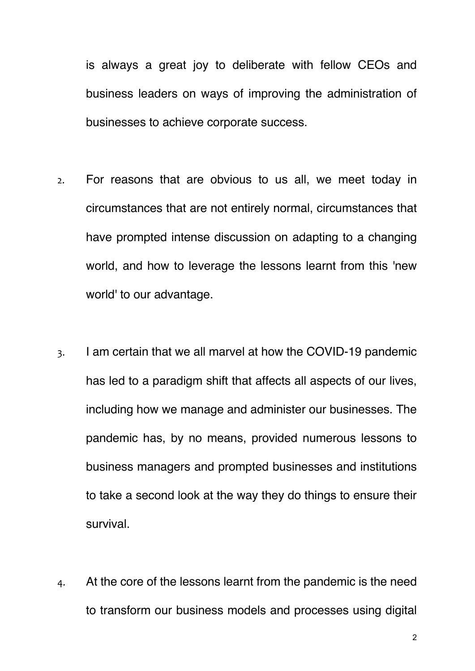is always a great joy to deliberate with fellow CEOs and business leaders on ways of improving the administration of businesses to achieve corporate success.

- 2. For reasons that are obvious to us all, we meet today in circumstances that are not entirely normal, circumstances that have prompted intense discussion on adapting to a changing world, and how to leverage the lessons learnt from this 'new world' to our advantage.
- 3. I am certain that we all marvel at how the COVID-19 pandemic has led to a paradigm shift that affects all aspects of our lives, including how we manage and administer our businesses. The pandemic has, by no means, provided numerous lessons to business managers and prompted businesses and institutions to take a second look at the way they do things to ensure their survival.
- 4. At the core of the lessons learnt from the pandemic is the need to transform our business models and processes using digital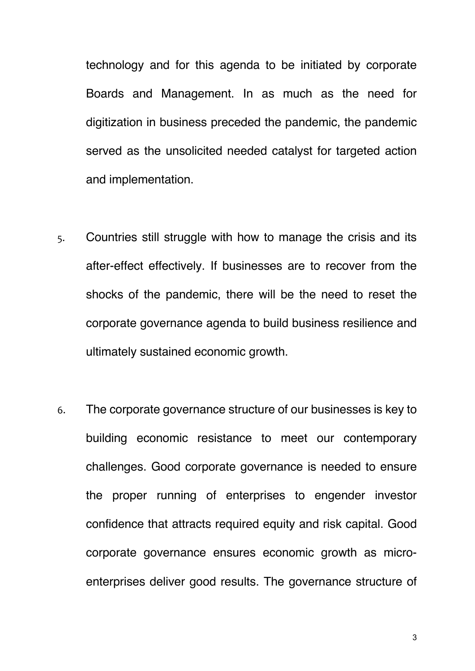technology and for this agenda to be initiated by corporate Boards and Management. In as much as the need for digitization in business preceded the pandemic, the pandemic served as the unsolicited needed catalyst for targeted action and implementation.

- 5. Countries still struggle with how to manage the crisis and its after-effect effectively. If businesses are to recover from the shocks of the pandemic, there will be the need to reset the corporate governance agenda to build business resilience and ultimately sustained economic growth.
- 6. The corporate governance structure of our businesses is key to building economic resistance to meet our contemporary challenges. Good corporate governance is needed to ensure the proper running of enterprises to engender investor confidence that attracts required equity and risk capital. Good corporate governance ensures economic growth as microenterprises deliver good results. The governance structure of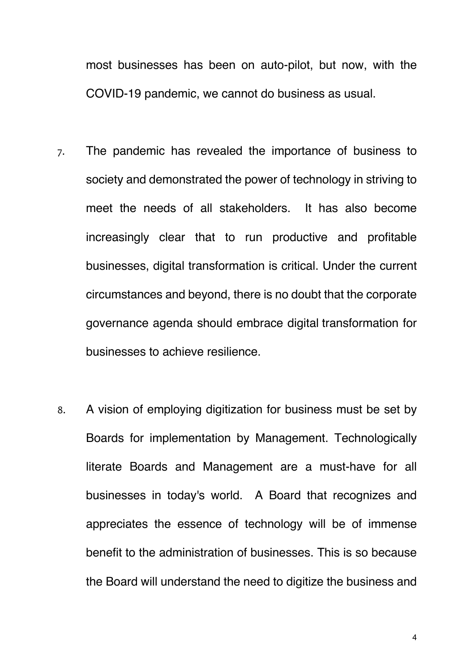most businesses has been on auto-pilot, but now, with the COVID-19 pandemic, we cannot do business as usual.

- 7. The pandemic has revealed the importance of business to society and demonstrated the power of technology in striving to meet the needs of all stakeholders. It has also become increasingly clear that to run productive and profitable businesses, digital transformation is critical. Under the current circumstances and beyond, there is no doubt that the corporate governance agenda should embrace digital transformation for businesses to achieve resilience.
- 8. A vision of employing digitization for business must be set by Boards for implementation by Management. Technologically literate Boards and Management are a must-have for all businesses in today's world. A Board that recognizes and appreciates the essence of technology will be of immense benefit to the administration of businesses. This is so because the Board will understand the need to digitize the business and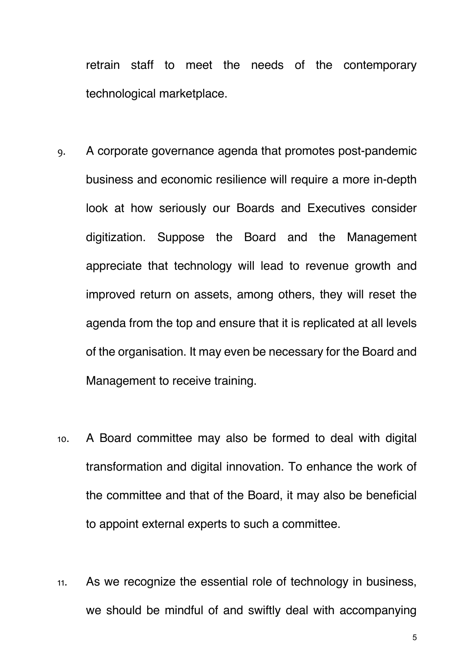retrain staff to meet the needs of the contemporary technological marketplace.

- 9. A corporate governance agenda that promotes post-pandemic business and economic resilience will require a more in-depth look at how seriously our Boards and Executives consider digitization. Suppose the Board and the Management appreciate that technology will lead to revenue growth and improved return on assets, among others, they will reset the agenda from the top and ensure that it is replicated at all levels of the organisation. It may even be necessary for the Board and Management to receive training.
- 10. A Board committee may also be formed to deal with digital transformation and digital innovation. To enhance the work of the committee and that of the Board, it may also be beneficial to appoint external experts to such a committee.
- 11. As we recognize the essential role of technology in business, we should be mindful of and swiftly deal with accompanying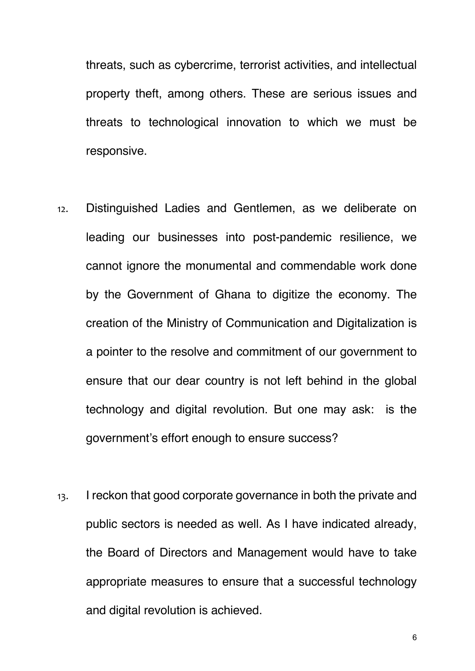threats, such as cybercrime, terrorist activities, and intellectual property theft, among others. These are serious issues and threats to technological innovation to which we must be responsive.

- 12. Distinguished Ladies and Gentlemen, as we deliberate on leading our businesses into post-pandemic resilience, we cannot ignore the monumental and commendable work done by the Government of Ghana to digitize the economy. The creation of the Ministry of Communication and Digitalization is a pointer to the resolve and commitment of our government to ensure that our dear country is not left behind in the global technology and digital revolution. But one may ask: is the government's effort enough to ensure success?
- 13. I reckon that good corporate governance in both the private and public sectors is needed as well. As I have indicated already, the Board of Directors and Management would have to take appropriate measures to ensure that a successful technology and digital revolution is achieved.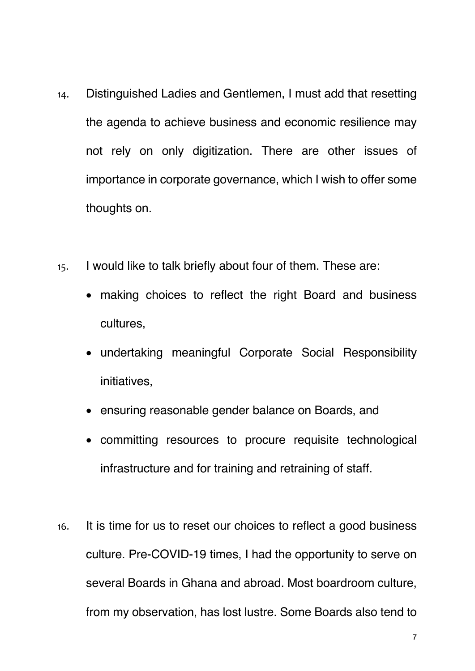- 14. Distinguished Ladies and Gentlemen, I must add that resetting the agenda to achieve business and economic resilience may not rely on only digitization. There are other issues of importance in corporate governance, which I wish to offer some thoughts on.
- 15. I would like to talk briefly about four of them. These are:
	- making choices to reflect the right Board and business cultures,
	- undertaking meaningful Corporate Social Responsibility initiatives,
	- ensuring reasonable gender balance on Boards, and
	- committing resources to procure requisite technological infrastructure and for training and retraining of staff.
- 16. It is time for us to reset our choices to reflect a good business culture. Pre-COVID-19 times, I had the opportunity to serve on several Boards in Ghana and abroad. Most boardroom culture, from my observation, has lost lustre. Some Boards also tend to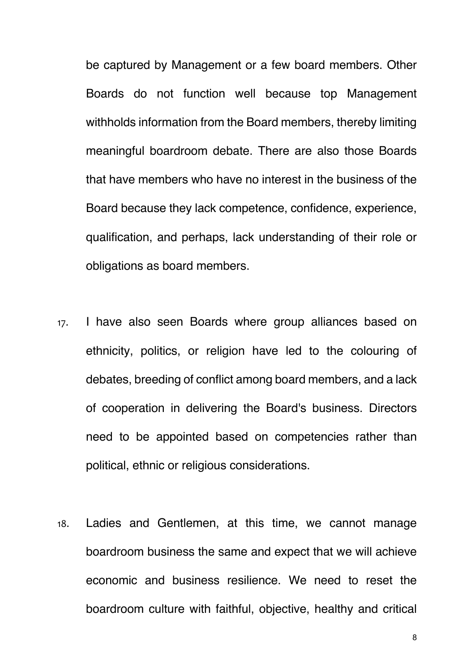be captured by Management or a few board members. Other Boards do not function well because top Management withholds information from the Board members, thereby limiting meaningful boardroom debate. There are also those Boards that have members who have no interest in the business of the Board because they lack competence, confidence, experience, qualification, and perhaps, lack understanding of their role or obligations as board members.

- 17. I have also seen Boards where group alliances based on ethnicity, politics, or religion have led to the colouring of debates, breeding of conflict among board members, and a lack of cooperation in delivering the Board's business. Directors need to be appointed based on competencies rather than political, ethnic or religious considerations.
- 18. Ladies and Gentlemen, at this time, we cannot manage boardroom business the same and expect that we will achieve economic and business resilience. We need to reset the boardroom culture with faithful, objective, healthy and critical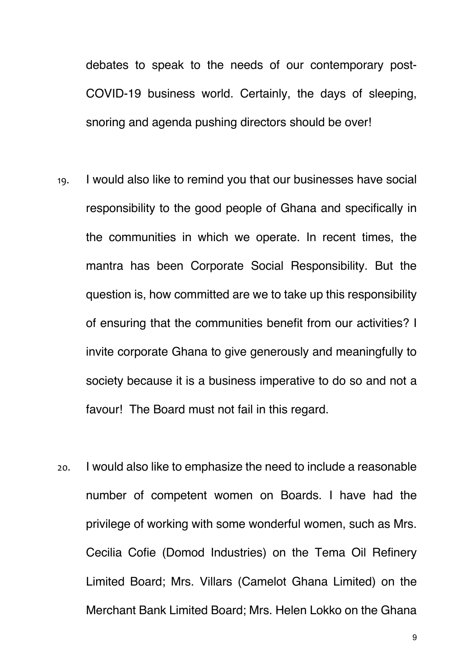debates to speak to the needs of our contemporary post-COVID-19 business world. Certainly, the days of sleeping, snoring and agenda pushing directors should be over!

- 19. I would also like to remind you that our businesses have social responsibility to the good people of Ghana and specifically in the communities in which we operate. In recent times, the mantra has been Corporate Social Responsibility. But the question is, how committed are we to take up this responsibility of ensuring that the communities benefit from our activities? I invite corporate Ghana to give generously and meaningfully to society because it is a business imperative to do so and not a favour! The Board must not fail in this regard.
- 20. I would also like to emphasize the need to include a reasonable number of competent women on Boards. I have had the privilege of working with some wonderful women, such as Mrs. Cecilia Cofie (Domod Industries) on the Tema Oil Refinery Limited Board; Mrs. Villars (Camelot Ghana Limited) on the Merchant Bank Limited Board; Mrs. Helen Lokko on the Ghana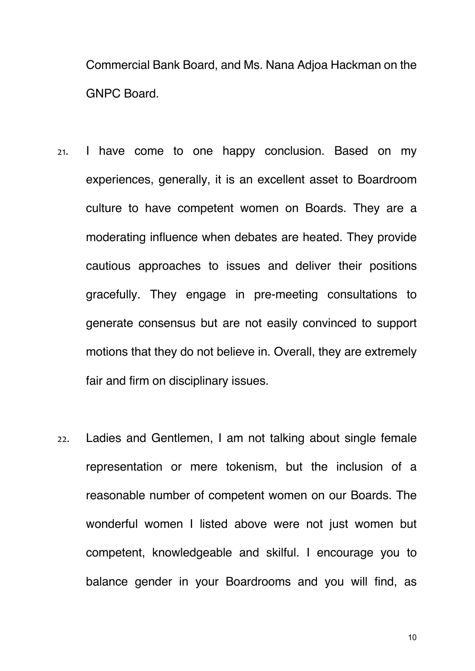Commercial Bank Board, and Ms. Nana Adjoa Hackman on the GNPC Board.

- 21. I have come to one happy conclusion. Based on my experiences, generally, it is an excellent asset to Boardroom culture to have competent women on Boards. They are a moderating influence when debates are heated. They provide cautious approaches to issues and deliver their positions gracefully. They engage in pre-meeting consultations to generate consensus but are not easily convinced to support motions that they do not believe in. Overall, they are extremely fair and firm on disciplinary issues.
- 22. Ladies and Gentlemen, I am not talking about single female representation or mere tokenism, but the inclusion of a reasonable number of competent women on our Boards. The wonderful women I listed above were not just women but competent, knowledgeable and skilful. I encourage you to balance gender in your Boardrooms and you will find, as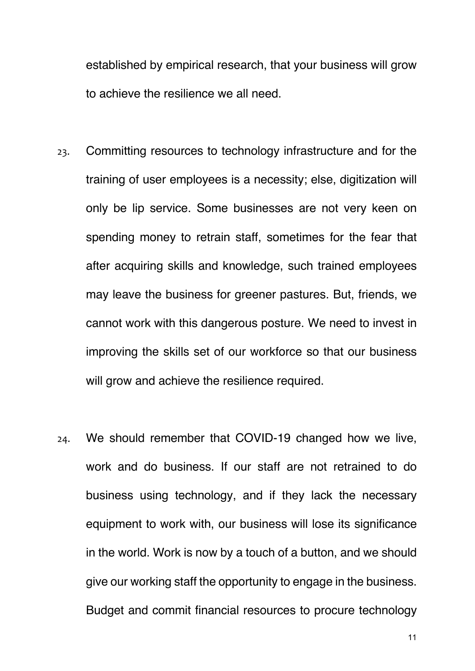established by empirical research, that your business will grow to achieve the resilience we all need.

- 23. Committing resources to technology infrastructure and for the training of user employees is a necessity; else, digitization will only be lip service. Some businesses are not very keen on spending money to retrain staff, sometimes for the fear that after acquiring skills and knowledge, such trained employees may leave the business for greener pastures. But, friends, we cannot work with this dangerous posture. We need to invest in improving the skills set of our workforce so that our business will grow and achieve the resilience required.
- 24. We should remember that COVID-19 changed how we live, work and do business. If our staff are not retrained to do business using technology, and if they lack the necessary equipment to work with, our business will lose its significance in the world. Work is now by a touch of a button, and we should give our working staff the opportunity to engage in the business. Budget and commit financial resources to procure technology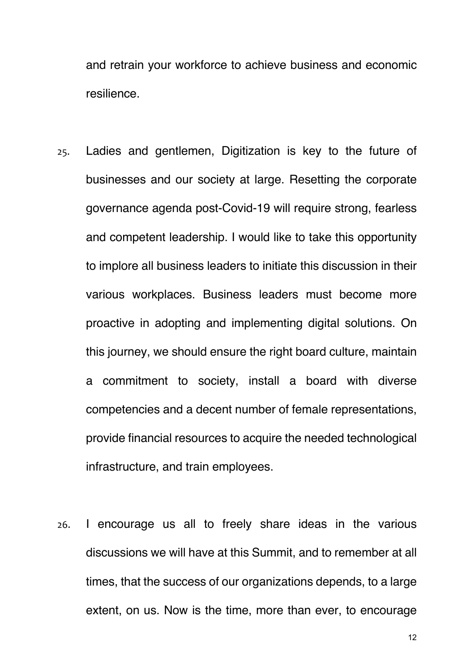and retrain your workforce to achieve business and economic resilience.

- 25. Ladies and gentlemen, Digitization is key to the future of businesses and our society at large. Resetting the corporate governance agenda post-Covid-19 will require strong, fearless and competent leadership. I would like to take this opportunity to implore all business leaders to initiate this discussion in their various workplaces. Business leaders must become more proactive in adopting and implementing digital solutions. On this journey, we should ensure the right board culture, maintain a commitment to society, install a board with diverse competencies and a decent number of female representations, provide financial resources to acquire the needed technological infrastructure, and train employees.
- 26. I encourage us all to freely share ideas in the various discussions we will have at this Summit, and to remember at all times, that the success of our organizations depends, to a large extent, on us. Now is the time, more than ever, to encourage